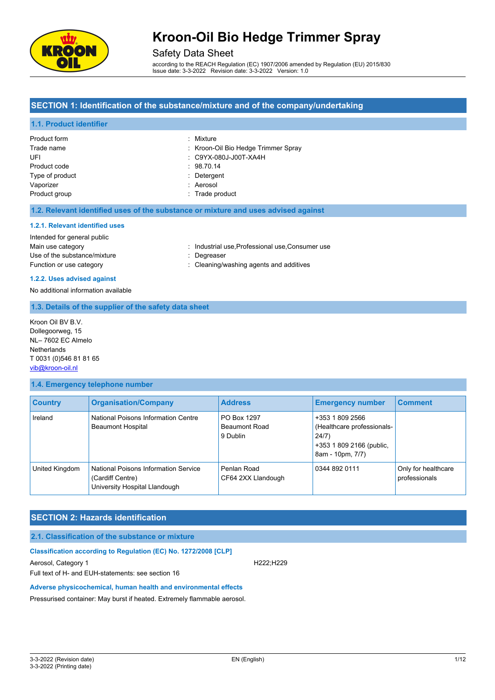

## Safety Data Sheet

according to the REACH Regulation (EC) 1907/2006 amended by Regulation (EU) 2015/830 Issue date: 3-3-2022 Revision date: 3-3-2022 Version: 1.0

## **SECTION 1: Identification of the substance/mixture and of the company/undertaking**

## **1.1. Product identifier**

| Product form    | : Mixture                           |
|-----------------|-------------------------------------|
| Trade name      | : Kroon-Oil Bio Hedge Trimmer Spray |
| UFI             | : C9YX-080J-J00T-XA4H               |
| Product code    | : 98.70.14                          |
| Type of product | : Detergent                         |
| Vaporizer       | : Aerosol                           |
| Product group   | : Trade product                     |

## **1.2. Relevant identified uses of the substance or mixture and uses advised against**

#### **1.2.1. Relevant identified uses**

### Intended for general public

Main use category **industrial use, Professional use, Consumer use** industrial use, Professional use, Consumer use Use of the substance/mixture in the substance of the substance of the substance of the substance of the substance of the substance of the substance of the substance of the substance of the substance of the substance of the

- 
- 
- Function or use category **interpretice and according** : Cleaning/washing agents and additives

#### **1.2.2. Uses advised against**

No additional information available

### **1.3. Details of the supplier of the safety data sheet**

Kroon Oil BV B.V. Dollegoorweg, 15 NL– 7602 EC Almelo Netherlands T 0031 (0)546 81 81 65 [vib@kroon-oil.nl](mailto:vib@kroon-oil.nl)

### **1.4. Emergency telephone number**

| <b>Country</b> | <b>Organisation/Company</b>                                                                      | <b>Address</b>                                  | <b>Emergency number</b>                                                                                | <b>Comment</b>                       |
|----------------|--------------------------------------------------------------------------------------------------|-------------------------------------------------|--------------------------------------------------------------------------------------------------------|--------------------------------------|
| Ireland        | National Poisons Information Centre<br><b>Beaumont Hospital</b>                                  | PO Box 1297<br><b>Beaumont Road</b><br>9 Dublin | +353 1 809 2566<br>(Healthcare professionals-<br>24/7)<br>+353 1 809 2166 (public,<br>8am - 10pm, 7/7) |                                      |
| United Kingdom | <b>National Poisons Information Service</b><br>(Cardiff Centre)<br>University Hospital Llandough | Penlan Road<br>CF64 2XX Llandough               | 0344 892 0111                                                                                          | Only for healthcare<br>professionals |

## **SECTION 2: Hazards identification**

## **2.1. Classification of the substance or mixture**

**Classification according to Regulation (EC) No. 1272/2008 [CLP]**

Aerosol, Category 1 and 222;H229

Full text of H- and EUH-statements: see section 16

## **Adverse physicochemical, human health and environmental effects**

Pressurised container: May burst if heated. Extremely flammable aerosol.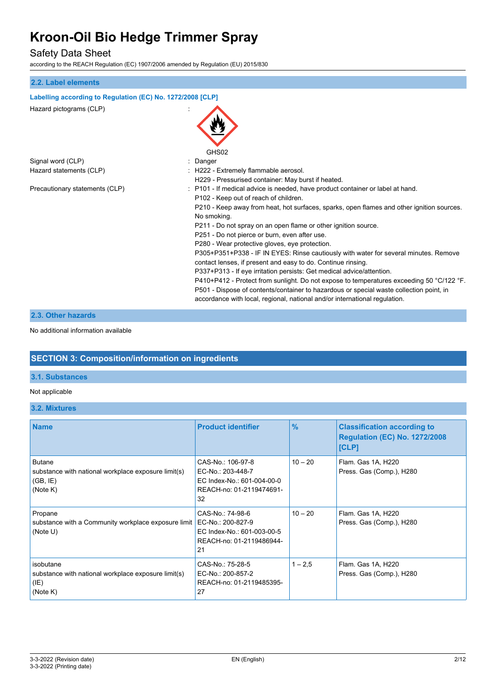# Safety Data Sheet

according to the REACH Regulation (EC) 1907/2006 amended by Regulation (EU) 2015/830

# **2.2. Label elements Labelling according to Regulation (EC) No. 1272/2008 [CLP]** Hazard pictograms (CLP) : GHS<sub>02</sub> Signal word (CLP) **in the state of the Signal word** (CLP) **in the Signal word of the Signal Signal Signal Signal Signal Signal Signal Signal Signal Signal Signal Signal Signal Signal Signal Signal Signal Signal Signal Sign** Hazard statements (CLP)  $\qquad \qquad$  : H222 - Extremely flammable aerosol. H229 - Pressurised container: May burst if heated. Precautionary statements (CLP) : P101 - If medical advice is needed, have product container or label at hand. P102 - Keep out of reach of children. P210 - Keep away from heat, hot surfaces, sparks, open flames and other ignition sources. No smoking. P211 - Do not spray on an open flame or other ignition source. P251 - Do not pierce or burn, even after use. P280 - Wear protective gloves, eye protection. P305+P351+P338 - IF IN EYES: Rinse cautiously with water for several minutes. Remove contact lenses, if present and easy to do. Continue rinsing. P337+P313 - If eye irritation persists: Get medical advice/attention. P410+P412 - Protect from sunlight. Do not expose to temperatures exceeding 50 °C/122 °F. P501 - Dispose of contents/container to hazardous or special waste collection point, in accordance with local, regional, national and/or international regulation.

## **2.3. Other hazards**

No additional information available

# **SECTION 3: Composition/information on ingredients**

# **3.1. Substances**

## Not applicable

**3.2. Mixtures**

| <b>Name</b>                                                                                  | <b>Product identifier</b>                                                                              | $\frac{9}{6}$ | <b>Classification according to</b><br><b>Regulation (EC) No. 1272/2008</b><br>[CLP] |
|----------------------------------------------------------------------------------------------|--------------------------------------------------------------------------------------------------------|---------------|-------------------------------------------------------------------------------------|
| <b>Butane</b><br>substance with national workplace exposure limit(s)<br>(GB, IE)<br>(Note K) | CAS-No.: 106-97-8<br>EC-No.: 203-448-7<br>EC Index-No.: 601-004-00-0<br>REACH-no: 01-2119474691-<br>32 | $10 - 20$     | Flam. Gas 1A, H220<br>Press. Gas (Comp.), H280                                      |
| Propane<br>substance with a Community workplace exposure limit<br>(Note U)                   | CAS-No.: 74-98-6<br>EC-No.: 200-827-9<br>EC Index-No.: 601-003-00-5<br>REACH-no: 01-2119486944-<br>21  | $10 - 20$     | Flam. Gas 1A, H220<br>Press. Gas (Comp.), H280                                      |
| isobutane<br>substance with national workplace exposure limit(s)<br>(IE)<br>(Note K)         | CAS-No.: 75-28-5<br>EC-No.: 200-857-2<br>REACH-no: 01-2119485395-<br>27                                | $1 - 2.5$     | Flam. Gas 1A, H220<br>Press. Gas (Comp.), H280                                      |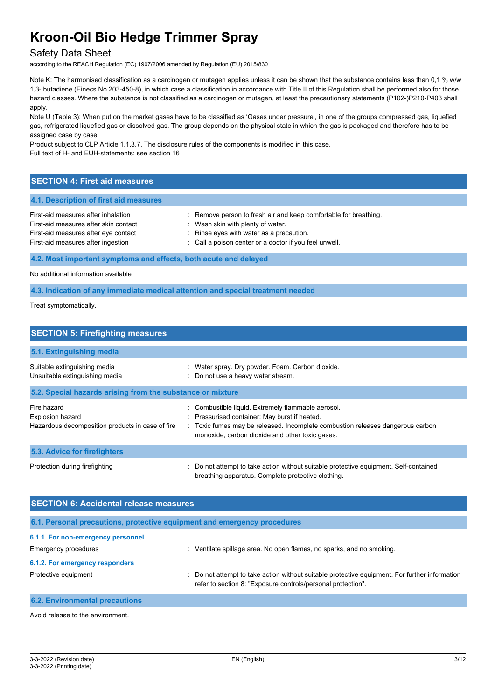# Safety Data Sheet

according to the REACH Regulation (EC) 1907/2006 amended by Regulation (EU) 2015/830

Note K: The harmonised classification as a carcinogen or mutagen applies unless it can be shown that the substance contains less than 0,1 % w/w 1,3- butadiene (Einecs No 203-450-8), in which case a classification in accordance with Title II of this Regulation shall be performed also for those hazard classes. Where the substance is not classified as a carcinogen or mutagen, at least the precautionary statements (P102-)P210-P403 shall apply.

Note U (Table 3): When put on the market gases have to be classified as 'Gases under pressure', in one of the groups compressed gas, liquefied gas, refrigerated liquefied gas or dissolved gas. The group depends on the physical state in which the gas is packaged and therefore has to be assigned case by case.

Product subject to CLP Article 1.1.3.7. The disclosure rules of the components is modified in this case. Full text of H- and EUH-statements: see section 16

## **SECTION 4: First aid measures**

### **4.1. Description of first aid measures**

| First-aid measures after inhalation                              | : Remove person to fresh air and keep comfortable for breathing. |  |  |
|------------------------------------------------------------------|------------------------------------------------------------------|--|--|
| First-aid measures after skin contact                            | : Wash skin with plenty of water.                                |  |  |
| First-aid measures after eye contact                             | : Rinse eyes with water as a precaution.                         |  |  |
| First-aid measures after ingestion                               | : Call a poison center or a doctor if you feel unwell.           |  |  |
|                                                                  |                                                                  |  |  |
| 4.2. Most important symptoms and effects, both acute and delayed |                                                                  |  |  |

No additional information available

**4.3. Indication of any immediate medical attention and special treatment needed**

Treat symptomatically.

| <b>SECTION 5: Firefighting measures</b>                                                    |                                                                                                                                                                                                                                        |
|--------------------------------------------------------------------------------------------|----------------------------------------------------------------------------------------------------------------------------------------------------------------------------------------------------------------------------------------|
| 5.1. Extinguishing media                                                                   |                                                                                                                                                                                                                                        |
| Suitable extinguishing media<br>Unsuitable extinguishing media                             | : Water spray. Dry powder. Foam. Carbon dioxide.<br>Do not use a heavy water stream.                                                                                                                                                   |
| 5.2. Special hazards arising from the substance or mixture                                 |                                                                                                                                                                                                                                        |
| Fire hazard<br><b>Explosion hazard</b><br>Hazardous decomposition products in case of fire | Combustible liquid. Extremely flammable aerosol.<br>: Pressurised container: May burst if heated.<br>: Toxic fumes may be released. Incomplete combustion releases dangerous carbon<br>monoxide, carbon dioxide and other toxic gases. |
| 5.3. Advice for firefighters                                                               |                                                                                                                                                                                                                                        |
| Protection during firefighting                                                             | Do not attempt to take action without suitable protective equipment. Self-contained<br>breathing apparatus. Complete protective clothing.                                                                                              |

| <b>SECTION 6: Accidental release measures</b> |                                                                                                                                                                |
|-----------------------------------------------|----------------------------------------------------------------------------------------------------------------------------------------------------------------|
|                                               | 6.1. Personal precautions, protective equipment and emergency procedures                                                                                       |
| 6.1.1. For non-emergency personnel            |                                                                                                                                                                |
| <b>Emergency procedures</b>                   | : Ventilate spillage area. No open flames, no sparks, and no smoking.                                                                                          |
| 6.1.2. For emergency responders               |                                                                                                                                                                |
| Protective equipment                          | : Do not attempt to take action without suitable protective equipment. For further information<br>refer to section 8: "Exposure controls/personal protection". |
| <b>6.2. Environmental precautions</b>         |                                                                                                                                                                |

Avoid release to the environment.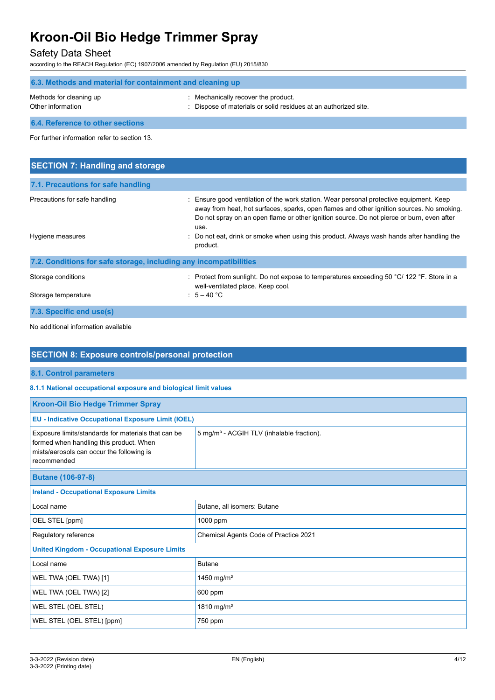# Safety Data Sheet

according to the REACH Regulation (EC) 1907/2006 amended by Regulation (EU) 2015/830

| 6.3. Methods and material for containment and cleaning up |                                                                                                        |  |  |
|-----------------------------------------------------------|--------------------------------------------------------------------------------------------------------|--|--|
| Methods for cleaning up<br>Other information              | : Mechanically recover the product.<br>: Dispose of materials or solid residues at an authorized site. |  |  |
| 6.4. Reference to other sections                          |                                                                                                        |  |  |

For further information refer to section 13.

| <b>SECTION 7: Handling and storage</b>                            |                                                                                                                                                                                                                                                                                           |
|-------------------------------------------------------------------|-------------------------------------------------------------------------------------------------------------------------------------------------------------------------------------------------------------------------------------------------------------------------------------------|
| 7.1. Precautions for safe handling                                |                                                                                                                                                                                                                                                                                           |
| Precautions for safe handling                                     | : Ensure good ventilation of the work station. Wear personal protective equipment. Keep<br>away from heat, hot surfaces, sparks, open flames and other ignition sources. No smoking.<br>Do not spray on an open flame or other ignition source. Do not pierce or burn, even after<br>use. |
| Hygiene measures                                                  | : Do not eat, drink or smoke when using this product. Always wash hands after handling the<br>product.                                                                                                                                                                                    |
| 7.2. Conditions for safe storage, including any incompatibilities |                                                                                                                                                                                                                                                                                           |
| Storage conditions                                                | Protect from sunlight. Do not expose to temperatures exceeding 50 °C/ 122 °F. Store in a<br>well-ventilated place. Keep cool.                                                                                                                                                             |
| Storage temperature                                               | $\therefore$ 5 – 40 °C                                                                                                                                                                                                                                                                    |
| 7.3. Specific end use(s)                                          |                                                                                                                                                                                                                                                                                           |

No additional information available

## **SECTION 8: Exposure controls/personal protection**

**8.1. Control parameters**

## **8.1.1 National occupational exposure and biological limit values**

| <b>Kroon-Oil Bio Hedge Trimmer Spray</b>                                                                                                                   |                                                       |
|------------------------------------------------------------------------------------------------------------------------------------------------------------|-------------------------------------------------------|
| <b>EU - Indicative Occupational Exposure Limit (IOEL)</b>                                                                                                  |                                                       |
| Exposure limits/standards for materials that can be<br>formed when handling this product. When<br>mists/aerosols can occur the following is<br>recommended | 5 mg/m <sup>3</sup> - ACGIH TLV (inhalable fraction). |
| <b>Butane (106-97-8)</b>                                                                                                                                   |                                                       |
| <b>Ireland - Occupational Exposure Limits</b>                                                                                                              |                                                       |
| Local name                                                                                                                                                 | Butane, all isomers: Butane                           |
| OEL STEL [ppm]                                                                                                                                             | 1000 ppm                                              |
| Regulatory reference                                                                                                                                       | Chemical Agents Code of Practice 2021                 |
| <b>United Kingdom - Occupational Exposure Limits</b>                                                                                                       |                                                       |
| Local name                                                                                                                                                 | <b>Butane</b>                                         |
| WEL TWA (OEL TWA) [1]                                                                                                                                      | 1450 mg/m <sup>3</sup>                                |
| WEL TWA (OEL TWA) [2]                                                                                                                                      | 600 ppm                                               |
| WEL STEL (OEL STEL)                                                                                                                                        | 1810 mg/m <sup>3</sup>                                |
| WEL STEL (OEL STEL) [ppm]                                                                                                                                  | 750 ppm                                               |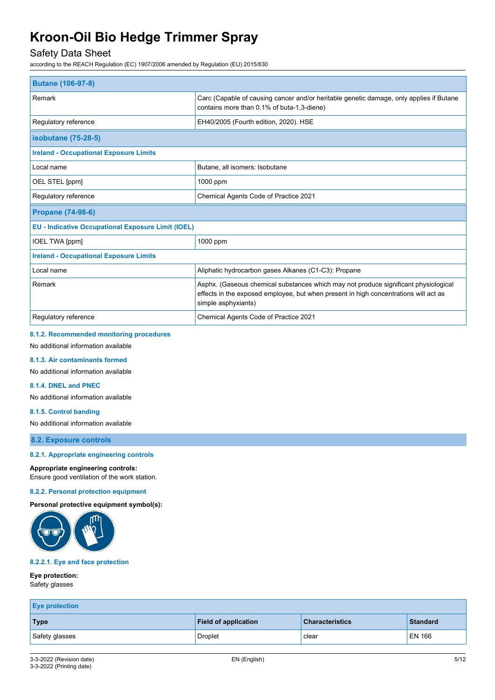# Safety Data Sheet

according to the REACH Regulation (EC) 1907/2006 amended by Regulation (EU) 2015/830

| <b>Butane (106-97-8)</b>                                  |                                                                                                                                                                                                    |  |
|-----------------------------------------------------------|----------------------------------------------------------------------------------------------------------------------------------------------------------------------------------------------------|--|
| Remark                                                    | Carc (Capable of causing cancer and/or heritable genetic damage, only applies if Butane<br>contains more than 0.1% of buta-1,3-diene)                                                              |  |
| Regulatory reference                                      | EH40/2005 (Fourth edition, 2020). HSE                                                                                                                                                              |  |
| <b>isobutane (75-28-5)</b>                                |                                                                                                                                                                                                    |  |
| <b>Ireland - Occupational Exposure Limits</b>             |                                                                                                                                                                                                    |  |
| Local name                                                | Butane, all isomers: Isobutane                                                                                                                                                                     |  |
| OEL STEL [ppm]                                            | 1000 ppm                                                                                                                                                                                           |  |
| Regulatory reference                                      | Chemical Agents Code of Practice 2021                                                                                                                                                              |  |
| <b>Propane (74-98-6)</b>                                  |                                                                                                                                                                                                    |  |
| <b>EU - Indicative Occupational Exposure Limit (IOEL)</b> |                                                                                                                                                                                                    |  |
| <b>IOEL TWA [ppm]</b>                                     | 1000 ppm                                                                                                                                                                                           |  |
| <b>Ireland - Occupational Exposure Limits</b>             |                                                                                                                                                                                                    |  |
| Local name                                                | Aliphatic hydrocarbon gases Alkanes (C1-C3): Propane                                                                                                                                               |  |
| Remark                                                    | Asphx. (Gaseous chemical substances which may not produce significant physiological<br>effects in the exposed employee, but when present in high concentrations will act as<br>simple asphyxiants) |  |
| Regulatory reference                                      | Chemical Agents Code of Practice 2021                                                                                                                                                              |  |

# **8.1.2. Recommended monitoring procedures**

No additional information available

## **8.1.3. Air contaminants formed**

No additional information available

## **8.1.4. DNEL and PNEC**

No additional information available

#### **8.1.5. Control banding**

No additional information available

## **8.2. Exposure controls**

### **8.2.1. Appropriate engineering controls**

**Appropriate engineering controls:**

Ensure good ventilation of the work station.

### **8.2.2. Personal protection equipment**

**Personal protective equipment symbol(s):**



### **8.2.2.1. Eye and face protection**

## **Eye protection:**

Safety glasses

| <b>Eye protection</b> |                             |                        |                 |
|-----------------------|-----------------------------|------------------------|-----------------|
| <b>Type</b>           | <b>Field of application</b> | <b>Characteristics</b> | <b>Standard</b> |
| Safety glasses        | <b>Droplet</b>              | clear                  | <b>EN 166</b>   |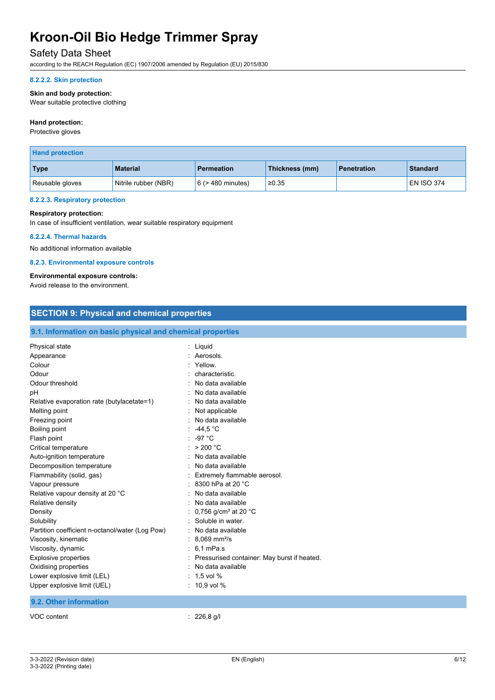# Safety Data Sheet

according to the REACH Regulation (EC) 1907/2006 amended by Regulation (EU) 2015/830

## **8.2.2.2. Skin protection**

## **Skin and body protection:**

Wear suitable protective clothing

## **Hand protection:**

Protective gloves

| <b>Hand protection</b> |                      |                        |                |                    |                   |
|------------------------|----------------------|------------------------|----------------|--------------------|-------------------|
| Type                   | <b>Material</b>      | <b>Permeation</b>      | Thickness (mm) | <b>Penetration</b> | <b>Standard</b>   |
| Reusable gloves        | Nitrile rubber (NBR) | $6$ ( $>$ 480 minutes) | ≥0.35          |                    | <b>EN ISO 374</b> |

#### **8.2.2.3. Respiratory protection**

## **Respiratory protection:**

In case of insufficient ventilation, wear suitable respiratory equipment

#### **8.2.2.4. Thermal hazards**

No additional information available

### **8.2.3. Environmental exposure controls**

# **Environmental exposure controls:**

Avoid release to the environment.

| <b>SECTION 9: Physical and chemical properties</b>                                                                                                                                                                                                                                                                                                                                                                                                                                                                                                                                                  |                                                                                                                                                                                                                                                                                                                                                                                                                                                                                                                                                                  |  |  |  |  |
|-----------------------------------------------------------------------------------------------------------------------------------------------------------------------------------------------------------------------------------------------------------------------------------------------------------------------------------------------------------------------------------------------------------------------------------------------------------------------------------------------------------------------------------------------------------------------------------------------------|------------------------------------------------------------------------------------------------------------------------------------------------------------------------------------------------------------------------------------------------------------------------------------------------------------------------------------------------------------------------------------------------------------------------------------------------------------------------------------------------------------------------------------------------------------------|--|--|--|--|
| 9.1. Information on basic physical and chemical properties                                                                                                                                                                                                                                                                                                                                                                                                                                                                                                                                          |                                                                                                                                                                                                                                                                                                                                                                                                                                                                                                                                                                  |  |  |  |  |
| Physical state<br>Appearance<br>Colour<br>Odour<br>Odour threshold<br>рH<br>Relative evaporation rate (butylacetate=1)<br>Melting point<br>Freezing point<br>Boiling point<br>Flash point<br>Critical temperature<br>Auto-ignition temperature<br>Decomposition temperature<br>Flammability (solid, gas)<br>Vapour pressure<br>Relative vapour density at 20 °C<br>Relative density<br>Density<br>Solubility<br>Partition coefficient n-octanol/water (Log Pow)<br>Viscosity, kinematic<br>Viscosity, dynamic<br><b>Explosive properties</b><br>Oxidising properties<br>Lower explosive limit (LEL) | Liquid<br>Aerosols.<br>Yellow.<br>characteristic.<br>No data available<br>No data available<br>No data available<br>Not applicable<br>No data available<br>$-44.5 °C$<br>-97 $^{\circ}$ C<br>> 200 °C<br>No data available<br>No data available<br>Extremely flammable aerosol.<br>8300 hPa at 20 °C<br>No data available<br>No data available<br>0,756 g/cm <sup>3</sup> at 20 °C<br>Soluble in water.<br>No data available<br>$8.069$ mm <sup>2</sup> /s<br>$: 6.1$ mPa.s<br>Pressurised container: May burst if heated.<br>No data available<br>$: 1.5$ vol % |  |  |  |  |

VOC content : 226,8 g/l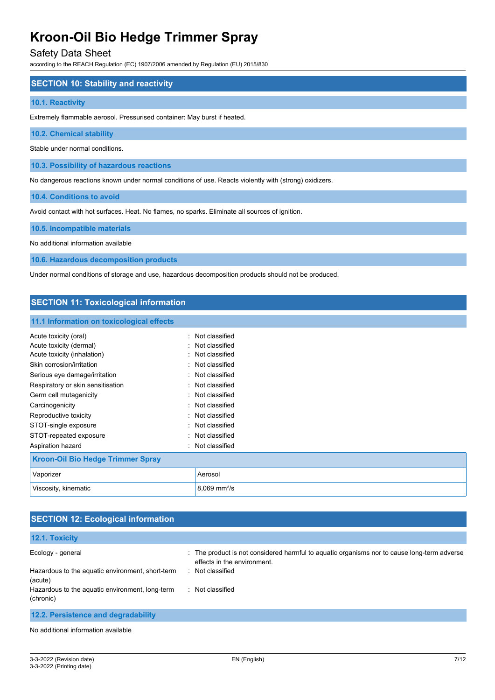## Safety Data Sheet

according to the REACH Regulation (EC) 1907/2006 amended by Regulation (EU) 2015/830

## **SECTION 10: Stability and reactivity**

### **10.1. Reactivity**

Extremely flammable aerosol. Pressurised container: May burst if heated.

**10.2. Chemical stability**

Stable under normal conditions.

**10.3. Possibility of hazardous reactions**

No dangerous reactions known under normal conditions of use. Reacts violently with (strong) oxidizers.

**10.4. Conditions to avoid**

Avoid contact with hot surfaces. Heat. No flames, no sparks. Eliminate all sources of ignition.

**10.5. Incompatible materials**

No additional information available

**10.6. Hazardous decomposition products**

Under normal conditions of storage and use, hazardous decomposition products should not be produced.

# **SECTION 11: Toxicological information**

### **11.1 Information on toxicological effects**

|                                          | : Not classified           |
|------------------------------------------|----------------------------|
| Acute toxicity (oral)                    |                            |
| Acute toxicity (dermal)                  | : Not classified           |
| Acute toxicity (inhalation)              | : Not classified           |
| Skin corrosion/irritation                | : Not classified           |
| Serious eye damage/irritation            | : Not classified           |
| Respiratory or skin sensitisation        | : Not classified           |
| Germ cell mutagenicity                   | : Not classified           |
| Carcinogenicity                          | : Not classified           |
| Reproductive toxicity                    | : Not classified           |
| STOT-single exposure                     | : Not classified           |
| STOT-repeated exposure                   | : Not classified           |
| Aspiration hazard                        | : Not classified           |
| <b>Kroon-Oil Bio Hedge Trimmer Spray</b> |                            |
| Vaporizer                                | Aerosol                    |
| Viscosity, kinematic                     | $8,069$ mm <sup>2</sup> /s |

# **SECTION 12: Ecological information**

| 12.1. Toxicity                                               |                                                                                                                            |
|--------------------------------------------------------------|----------------------------------------------------------------------------------------------------------------------------|
| Ecology - general                                            | : The product is not considered harmful to aquatic organisms nor to cause long-term adverse<br>effects in the environment. |
| Hazardous to the aquatic environment, short-term<br>(acute)  | Not classified                                                                                                             |
| Hazardous to the aquatic environment, long-term<br>(chronic) | Not classified                                                                                                             |
| 12.2. Persistence and degradability                          |                                                                                                                            |

No additional information available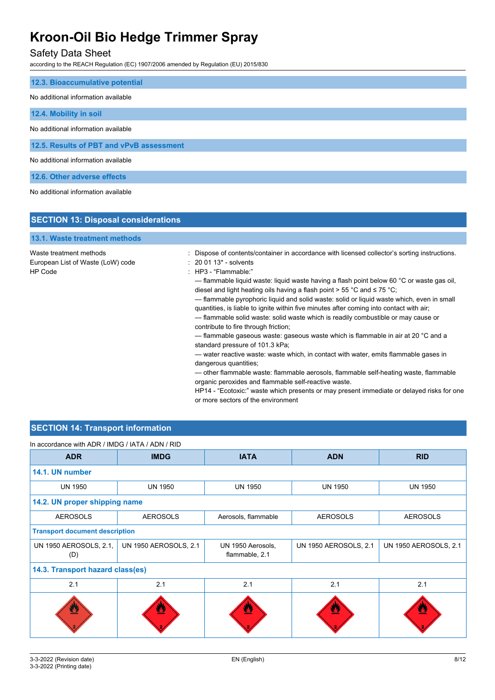# Safety Data Sheet

according to the REACH Regulation (EC) 1907/2006 amended by Regulation (EU) 2015/830

| 12.3. Bioaccumulative potential          |
|------------------------------------------|
| No additional information available      |
| 12.4. Mobility in soil                   |
| No additional information available      |
| 12.5. Results of PBT and vPvB assessment |
| No additional information available      |
| 12.6. Other adverse effects              |
| No additional information available      |

| <b>SECTION 13: Disposal considerations</b>                              |                                                                                                                                                                                                                                                                                                                                                                                                                                                                                                                                                                                                                                                                                                                                                                                                                                                                                                                                                                                                                                                                                                                                                                                           |
|-------------------------------------------------------------------------|-------------------------------------------------------------------------------------------------------------------------------------------------------------------------------------------------------------------------------------------------------------------------------------------------------------------------------------------------------------------------------------------------------------------------------------------------------------------------------------------------------------------------------------------------------------------------------------------------------------------------------------------------------------------------------------------------------------------------------------------------------------------------------------------------------------------------------------------------------------------------------------------------------------------------------------------------------------------------------------------------------------------------------------------------------------------------------------------------------------------------------------------------------------------------------------------|
|                                                                         |                                                                                                                                                                                                                                                                                                                                                                                                                                                                                                                                                                                                                                                                                                                                                                                                                                                                                                                                                                                                                                                                                                                                                                                           |
| 13.1. Waste treatment methods                                           |                                                                                                                                                                                                                                                                                                                                                                                                                                                                                                                                                                                                                                                                                                                                                                                                                                                                                                                                                                                                                                                                                                                                                                                           |
| Waste treatment methods<br>European List of Waste (LoW) code<br>HP Code | Dispose of contents/container in accordance with licensed collector's sorting instructions.<br>$: 200113$ - solvents<br>HP3 - "Flammable."<br>— flammable liquid waste: liquid waste having a flash point below 60 °C or waste gas oil,<br>diesel and light heating oils having a flash point $> 55 \degree C$ and $\leq 75 \degree C$ ;<br>- flammable pyrophoric liquid and solid waste: solid or liquid waste which, even in small<br>quantities, is liable to ignite within five minutes after coming into contact with air;<br>- flammable solid waste: solid waste which is readily combustible or may cause or<br>contribute to fire through friction;<br>— flammable gaseous waste: gaseous waste which is flammable in air at 20 °C and a<br>standard pressure of 101.3 kPa;<br>— water reactive waste: waste which, in contact with water, emits flammable gases in<br>dangerous quantities;<br>— other flammable waste: flammable aerosols, flammable self-heating waste, flammable<br>organic peroxides and flammable self-reactive waste.<br>HP14 - "Ecotoxic:" waste which presents or may present immediate or delayed risks for one<br>or more sectors of the environment |

# **SECTION 14: Transport information**

## In accordance with ADR / IMDG / IATA / ADN / RID

| <b>ADR</b>                            | <b>IMDG</b>           | <b>IATA</b>                         | <b>ADN</b>                   | <b>RID</b>            |
|---------------------------------------|-----------------------|-------------------------------------|------------------------------|-----------------------|
| 14.1. UN number                       |                       |                                     |                              |                       |
| <b>UN 1950</b>                        | <b>UN 1950</b>        | <b>UN 1950</b>                      | <b>UN 1950</b>               | <b>UN 1950</b>        |
| 14.2. UN proper shipping name         |                       |                                     |                              |                       |
| <b>AEROSOLS</b>                       | <b>AEROSOLS</b>       | Aerosols, flammable                 | <b>AEROSOLS</b>              | <b>AEROSOLS</b>       |
| <b>Transport document description</b> |                       |                                     |                              |                       |
| UN 1950 AEROSOLS, 2.1,<br>(D)         | UN 1950 AEROSOLS, 2.1 | UN 1950 Aerosols,<br>flammable, 2.1 | <b>UN 1950 AEROSOLS, 2.1</b> | UN 1950 AEROSOLS, 2.1 |
| 14.3. Transport hazard class(es)      |                       |                                     |                              |                       |
| 2.1                                   | 2.1                   | 2.1                                 | 2.1                          | 2.1                   |
| B                                     | Ø                     |                                     | U                            | J.                    |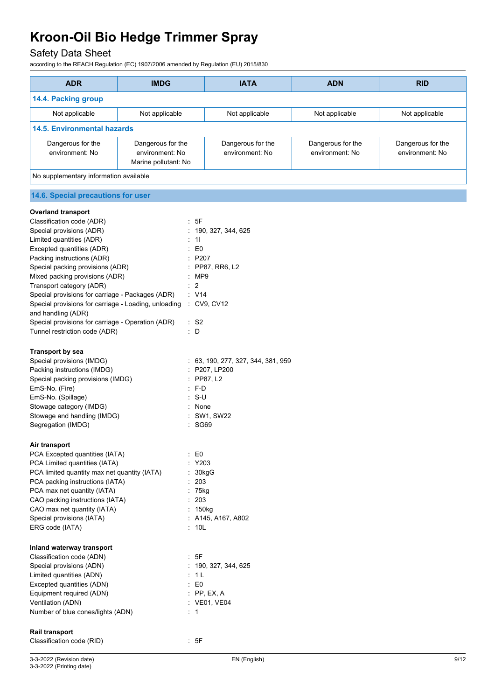# Safety Data Sheet

according to the REACH Regulation (EC) 1907/2006 amended by Regulation (EU) 2015/830

| <b>ADR</b>                                                       | <b>IMDG</b>                                                  |                                                    | <b>IATA</b>                          | <b>ADN</b>                           | <b>RID</b>                           |
|------------------------------------------------------------------|--------------------------------------------------------------|----------------------------------------------------|--------------------------------------|--------------------------------------|--------------------------------------|
| 14.4. Packing group                                              |                                                              |                                                    |                                      |                                      |                                      |
| Not applicable                                                   | Not applicable                                               | Not applicable<br>Not applicable<br>Not applicable |                                      |                                      |                                      |
| <b>14.5. Environmental hazards</b>                               |                                                              |                                                    |                                      |                                      |                                      |
| Dangerous for the<br>environment: No                             | Dangerous for the<br>environment: No<br>Marine pollutant: No |                                                    | Dangerous for the<br>environment: No | Dangerous for the<br>environment: No | Dangerous for the<br>environment: No |
| No supplementary information available                           |                                                              |                                                    |                                      |                                      |                                      |
| 14.6. Special precautions for user                               |                                                              |                                                    |                                      |                                      |                                      |
| <b>Overland transport</b>                                        |                                                              |                                                    |                                      |                                      |                                      |
| Classification code (ADR)                                        |                                                              | : 5F                                               |                                      |                                      |                                      |
| Special provisions (ADR)                                         |                                                              |                                                    | 190, 327, 344, 625                   |                                      |                                      |
| Limited quantities (ADR)                                         |                                                              | 11<br>÷                                            |                                      |                                      |                                      |
| Excepted quantities (ADR)                                        |                                                              | ÷<br>E <sub>0</sub>                                |                                      |                                      |                                      |
| Packing instructions (ADR)                                       |                                                              | P207<br>÷                                          |                                      |                                      |                                      |
| Special packing provisions (ADR)                                 |                                                              |                                                    | : PP87, RR6, L2                      |                                      |                                      |
| Mixed packing provisions (ADR)                                   |                                                              | :MP9                                               |                                      |                                      |                                      |
| Transport category (ADR)                                         |                                                              | 2                                                  |                                      |                                      |                                      |
| Special provisions for carriage - Packages (ADR)                 |                                                              | : V14                                              |                                      |                                      |                                      |
| Special provisions for carriage - Loading, unloading : CV9, CV12 |                                                              |                                                    |                                      |                                      |                                      |
| and handling (ADR)                                               |                                                              |                                                    |                                      |                                      |                                      |
| Special provisions for carriage - Operation (ADR)                |                                                              | $\cdot$ S2                                         |                                      |                                      |                                      |
| Tunnel restriction code (ADR)                                    |                                                              | : D                                                |                                      |                                      |                                      |
| Transport by sea                                                 |                                                              |                                                    |                                      |                                      |                                      |
| Special provisions (IMDG)                                        |                                                              |                                                    | : 63, 190, 277, 327, 344, 381, 959   |                                      |                                      |
| Packing instructions (IMDG)                                      |                                                              |                                                    | P207, LP200                          |                                      |                                      |
| Special packing provisions (IMDG)                                |                                                              | ÷                                                  | PP87, L2                             |                                      |                                      |
| EmS-No. (Fire)                                                   |                                                              | F-D<br>÷.                                          |                                      |                                      |                                      |
| EmS-No. (Spillage)                                               |                                                              | $S-U$                                              |                                      |                                      |                                      |
| Stowage category (IMDG)                                          |                                                              | None                                               |                                      |                                      |                                      |
| Stowage and handling (IMDG)                                      |                                                              |                                                    | SW1, SW22                            |                                      |                                      |
| Segregation (IMDG)                                               |                                                              | : SG69                                             |                                      |                                      |                                      |
| Air transport                                                    |                                                              |                                                    |                                      |                                      |                                      |
| PCA Excepted quantities (IATA)                                   |                                                              | E <sub>0</sub>                                     |                                      |                                      |                                      |
| PCA Limited quantities (IATA)                                    |                                                              | Y203                                               |                                      |                                      |                                      |
| PCA limited quantity max net quantity (IATA)                     |                                                              |                                                    | 30kgG                                |                                      |                                      |
| PCA packing instructions (IATA)                                  |                                                              | 203                                                |                                      |                                      |                                      |
| PCA max net quantity (IATA)                                      |                                                              | $: 75$ kg                                          |                                      |                                      |                                      |
| CAO packing instructions (IATA)                                  |                                                              | 203<br>÷                                           |                                      |                                      |                                      |
| CAO max net quantity (IATA)                                      |                                                              | 150 <sub>kg</sub>                                  |                                      |                                      |                                      |
| Special provisions (IATA)                                        |                                                              |                                                    | : A145, A167, A802                   |                                      |                                      |
| ERG code (IATA)                                                  |                                                              | : 10L                                              |                                      |                                      |                                      |
| Inland waterway transport                                        |                                                              |                                                    |                                      |                                      |                                      |
| Classification code (ADN)                                        |                                                              | 5F<br>÷.                                           |                                      |                                      |                                      |
| Special provisions (ADN)                                         |                                                              |                                                    | 190, 327, 344, 625                   |                                      |                                      |
| Limited quantities (ADN)                                         |                                                              | : 1 L                                              |                                      |                                      |                                      |
| Excepted quantities (ADN)                                        |                                                              | E0<br>÷                                            |                                      |                                      |                                      |
| Equipment required (ADN)                                         |                                                              |                                                    | PP, EX, A                            |                                      |                                      |
| Ventilation (ADN)                                                |                                                              |                                                    | : VE01, VE04                         |                                      |                                      |
| Number of blue cones/lights (ADN)                                |                                                              | $\therefore$ 1                                     |                                      |                                      |                                      |
|                                                                  |                                                              |                                                    |                                      |                                      |                                      |
| Rail transport                                                   |                                                              |                                                    |                                      |                                      |                                      |
| Classification code (RID)                                        |                                                              | : 5F                                               |                                      |                                      |                                      |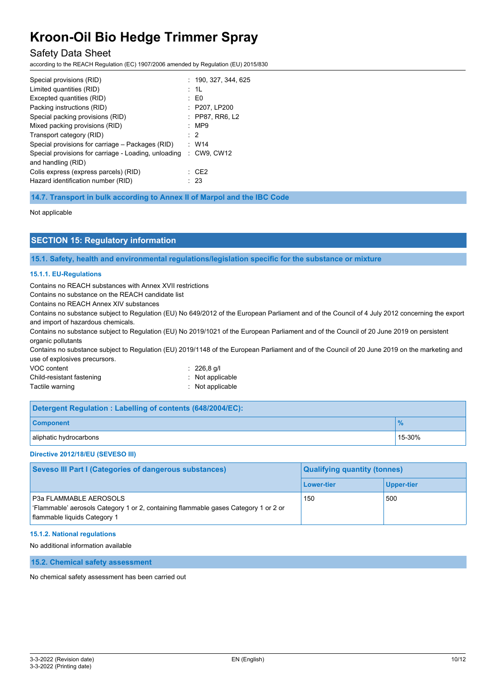# Safety Data Sheet

according to the REACH Regulation (EC) 1907/2006 amended by Regulation (EU) 2015/830

| Special provisions (RID)                             | : 190, 327, 344, 625   |
|------------------------------------------------------|------------------------|
| Limited quantities (RID)                             | : 1L                   |
| Excepted quantities (RID)                            | $\pm 50$               |
| Packing instructions (RID)                           | : P207, LP200          |
| Special packing provisions (RID)                     | : PP87, RR6, L2        |
| Mixed packing provisions (RID)                       | :MP9                   |
| Transport category (RID)                             | $\therefore$ 2         |
| Special provisions for carriage – Packages (RID)     | $\therefore$ W14       |
| Special provisions for carriage - Loading, unloading | $\therefore$ CW9. CW12 |
| and handling (RID)                                   |                        |
| Colis express (express parcels) (RID)                | : CE2                  |
| Hazard identification number (RID)                   | : 23                   |
|                                                      |                        |

**14.7. Transport in bulk according to Annex II of Marpol and the IBC Code**

### Not applicable

## **SECTION 15: Regulatory information**

**15.1. Safety, health and environmental regulations/legislation specific for the substance or mixture**

### **15.1.1. EU-Regulations**

Contains no REACH substances with Annex XVII restrictions

Contains no substance on the REACH candidate list

Contains no REACH Annex XIV substances

Contains no substance subject to Regulation (EU) No 649/2012 of the European Parliament and of the Council of 4 July 2012 concerning the export and import of hazardous chemicals.

Contains no substance subject to Regulation (EU) No 2019/1021 of the European Parliament and of the Council of 20 June 2019 on persistent organic pollutants

Contains no substance subject to Regulation (EU) 2019/1148 of the European Parliament and of the Council of 20 June 2019 on the marketing and use of explosives precursors.

| VOC content               | $: 226.8$ q/l               |
|---------------------------|-----------------------------|
| Child-resistant fastening | $\therefore$ Not applicable |
| Tactile warning           | $\therefore$ Not applicable |

| Detergent Regulation: Labelling of contents (648/2004/EC): |        |  |
|------------------------------------------------------------|--------|--|
| <b>Component</b>                                           |        |  |
| aliphatic hydrocarbons                                     | 15-30% |  |

#### **Directive 2012/18/EU (SEVESO III)**

| <b>Seveso III Part I (Categories of dangerous substances)</b>                                                                                        | <b>Qualifying quantity (tonnes)</b> |            |  |  |
|------------------------------------------------------------------------------------------------------------------------------------------------------|-------------------------------------|------------|--|--|
|                                                                                                                                                      | Lower-tier                          | Upper-tier |  |  |
| <b>P3a FLAMMABLE AEROSOLS</b><br>'Flammable' aerosols Category 1 or 2, containing flammable gases Category 1 or 2 or<br>flammable liquids Category 1 | 150                                 | 500        |  |  |

## **15.1.2. National regulations**

No additional information available

**15.2. Chemical safety assessment**

No chemical safety assessment has been carried out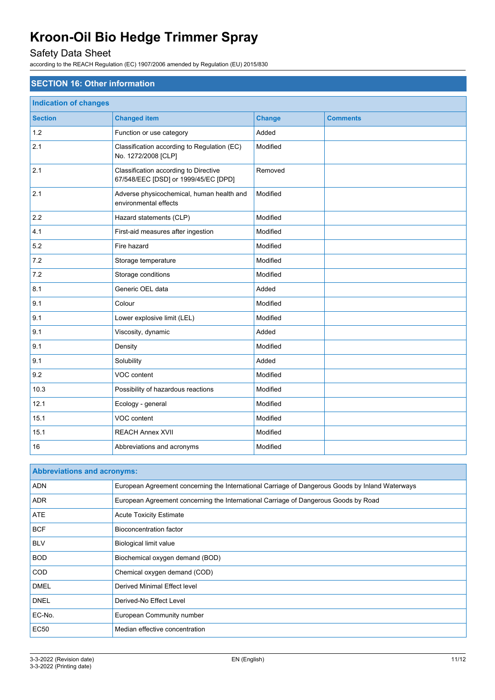# Safety Data Sheet

according to the REACH Regulation (EC) 1907/2006 amended by Regulation (EU) 2015/830

# **SECTION 16: Other information**

| <b>Indication of changes</b> |                                                                               |               |                 |  |  |
|------------------------------|-------------------------------------------------------------------------------|---------------|-----------------|--|--|
| <b>Section</b>               | <b>Changed item</b>                                                           | <b>Change</b> | <b>Comments</b> |  |  |
| 1.2                          | Function or use category                                                      | Added         |                 |  |  |
| 2.1                          | Classification according to Regulation (EC)<br>No. 1272/2008 [CLP]            | Modified      |                 |  |  |
| 2.1                          | Classification according to Directive<br>67/548/EEC [DSD] or 1999/45/EC [DPD] | Removed       |                 |  |  |
| 2.1                          | Adverse physicochemical, human health and<br>environmental effects            | Modified      |                 |  |  |
| 2.2                          | Hazard statements (CLP)                                                       | Modified      |                 |  |  |
| 4.1                          | First-aid measures after ingestion                                            | Modified      |                 |  |  |
| 5.2                          | Fire hazard                                                                   | Modified      |                 |  |  |
| 7.2                          | Storage temperature                                                           | Modified      |                 |  |  |
| 7.2                          | Storage conditions                                                            | Modified      |                 |  |  |
| 8.1                          | Generic OEL data                                                              | Added         |                 |  |  |
| 9.1                          | Colour                                                                        | Modified      |                 |  |  |
| 9.1                          | Lower explosive limit (LEL)                                                   | Modified      |                 |  |  |
| 9.1                          | Viscosity, dynamic                                                            | Added         |                 |  |  |
| 9.1                          | Density                                                                       | Modified      |                 |  |  |
| 9.1                          | Solubility                                                                    | Added         |                 |  |  |
| 9.2                          | VOC content                                                                   | Modified      |                 |  |  |
| 10.3                         | Possibility of hazardous reactions                                            | Modified      |                 |  |  |
| 12.1                         | Ecology - general                                                             | Modified      |                 |  |  |
| 15.1                         | VOC content                                                                   | Modified      |                 |  |  |
| 15.1                         | REACH Annex XVII                                                              | Modified      |                 |  |  |
| 16                           | Abbreviations and acronyms                                                    | Modified      |                 |  |  |

| <b>Abbreviations and acronyms:</b> |                                                                                                 |  |
|------------------------------------|-------------------------------------------------------------------------------------------------|--|
| <b>ADN</b>                         | European Agreement concerning the International Carriage of Dangerous Goods by Inland Waterways |  |
| <b>ADR</b>                         | European Agreement concerning the International Carriage of Dangerous Goods by Road             |  |
| <b>ATE</b>                         | <b>Acute Toxicity Estimate</b>                                                                  |  |
| <b>BCF</b>                         | Bioconcentration factor                                                                         |  |
| <b>BLV</b>                         | Biological limit value                                                                          |  |
| <b>BOD</b>                         | Biochemical oxygen demand (BOD)                                                                 |  |
| <b>COD</b>                         | Chemical oxygen demand (COD)                                                                    |  |
| <b>DMEL</b>                        | <b>Derived Minimal Effect level</b>                                                             |  |
| <b>DNEL</b>                        | Derived-No Effect Level                                                                         |  |
| EC-No.                             | European Community number                                                                       |  |
| <b>EC50</b>                        | Median effective concentration                                                                  |  |